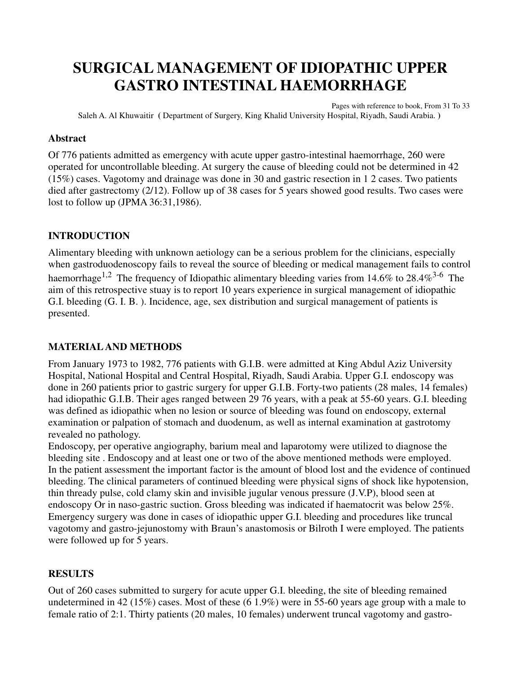# **SURGICAL MANAGEMENT OF IDIOPATHIC UPPER GASTRO INTESTINAL HAEMORRHAGE**

Pages with reference to book, From 31 To 33 Saleh A. Al Khuwaitir **(** Department of Surgery, King Khalid University Hospital, Riyadh, Saudi Arabia. **)** 

#### **Abstract**

Of 776 patients admitted as emergency with acute upper gastro-intestinal haemorrhage, 260 were operated for uncontrollable bleeding. At surgery the cause of bleeding could not be determined in 42 (15%) cases. Vagotomy and drainage was done in 30 and gastric resection in 1 2 cases. Two patients died after gastrectomy (2/12). Follow up of 38 cases for 5 years showed good results. Two cases were lost to follow up (JPMA 36:31,1986).

### **INTRODUCTION**

Alimentary bleeding with unknown aetiology can be a serious problem for the clinicians, especially when gastroduodenoscopy fails to reveal the source of bleeding or medical management fails to control haemorrhage<sup>1,2</sup> The frequency of Idiopathic alimentary bleeding varies from 14.6% to 28.4%<sup>3-6</sup> The aim of this retrospective stuay is to report 10 years experience in surgical management of idiopathic G.I. bleeding (G. I. B. ). Incidence, age, sex distribution and surgical management of patients is presented.

### **MATERIAL AND METHODS**

From January 1973 to 1982, 776 patients with G.I.B. were admitted at King Abdul Aziz University Hospital, National Hospital and Central Hospital, Riyadh, Saudi Arabia. Upper G.I. endoscopy was done in 260 patients prior to gastric surgery for upper G.I.B. Forty-two patients (28 males, 14 females) had idiopathic G.I.B. Their ages ranged between 29 76 years, with a peak at 55-60 years. G.I. bleeding was defined as idiopathic when no lesion or source of bleeding was found on endoscopy, external examination or palpation of stomach and duodenum, as well as internal examination at gastrotomy revealed no pathology.

Endoscopy, per operative angiography, barium meal and laparotomy were utilized to diagnose the bleeding site . Endoscopy and at least one or two of the above mentioned methods were employed. In the patient assessment the important factor is the amount of blood lost and the evidence of continued bleeding. The clinical parameters of continued bleeding were physical signs of shock like hypotension, thin thready pulse, cold clamy skin and invisible jugular venous pressure (J.V.P), blood seen at endoscopy Or in naso-gastric suction. Gross bleeding was indicated if haematocrit was below 25%. Emergency surgery was done in cases of idiopathic upper G.I. bleeding and procedures like truncal vagotomy and gastro-jejunostomy with Braun's anastomosis or Bilroth I were employed. The patients were followed up for 5 years.

### **RESULTS**

Out of 260 cases submitted to surgery for acute upper G.I. bleeding, the site of bleeding remained undetermined in 42 (15%) cases. Most of these (6 1.9%) were in 55-60 years age group with a male to female ratio of 2:1. Thirty patients (20 males, 10 females) underwent truncal vagotomy and gastro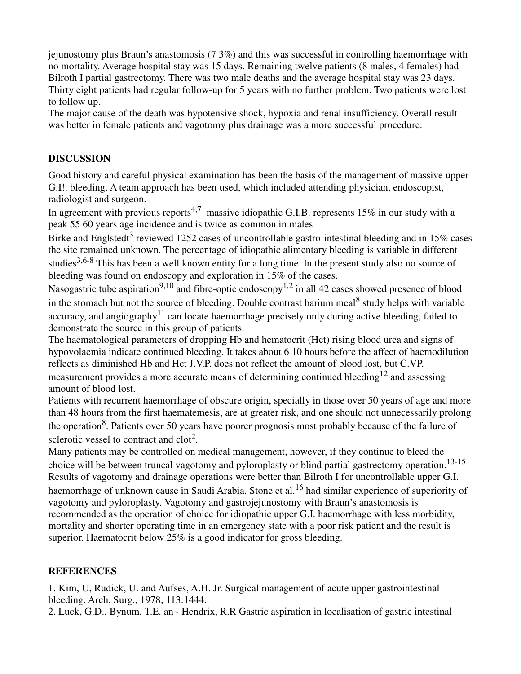jejunostomy plus Braun's anastomosis (7 3%) and this was successful in controlling haemorrhage with no mortality. Average hospital stay was 15 days. Remaining twelve patients (8 males, 4 females) had Bilroth I partial gastrectomy. There was two male deaths and the average hospital stay was 23 days. Thirty eight patients had regular follow-up for 5 years with no further problem. Two patients were lost to follow up.

The major cause of the death was hypotensive shock, hypoxia and renal insufficiency. Overall result was better in female patients and vagotomy plus drainage was a more successful procedure.

## **DISCUSSION**

Good history and careful physical examination has been the basis of the management of massive upper G.I!. bleeding. A team approach has been used, which included attending physician, endoscopist, radiologist and surgeon.

In agreement with previous reports<sup>4,7</sup> massive idiopathic G.I.B. represents 15% in our study with a peak 55 60 years age incidence and is twice as common in males

Birke and Englstedt<sup>3</sup> reviewed 1252 cases of uncontrollable gastro-intestinal bleeding and in 15% cases the site remained unknown. The percentage of idiopathic alimentary bleeding is variable in different studies<sup>3,6-8</sup> This has been a well known entity for a long time. In the present study also no source of bleeding was found on endoscopy and exploration in 15% of the cases.

Nasogastric tube aspiration<sup>9,10</sup> and fibre-optic endoscopy<sup>1,2</sup> in all 42 cases showed presence of blood in the stomach but not the source of bleeding. Double contrast barium meal<sup>8</sup> study helps with variable accuracy, and angiography<sup>11</sup> can locate haemorrhage precisely only during active bleeding, failed to demonstrate the source in this group of patients.

The haematological parameters of dropping Hb and hematocrit (Hct) rising blood urea and signs of hypovolaemia indicate continued bleeding. It takes about 6 10 hours before the affect of haemodilution reflects as diminished Hb and Hct J.V.P. does not reflect the amount of blood lost, but C.VP. measurement provides a more accurate means of determining continued bleeding<sup>12</sup> and assessing amount of blood lost.

Patients with recurrent haemorrhage of obscure origin, specially in those over 50 years of age and more than 48 hours from the first haematemesis, are at greater risk, and one should not unnecessarily prolong the operation<sup>8</sup>. Patients over 50 years have poorer prognosis most probably because of the failure of sclerotic vessel to contract and  $\text{clot}^2$ .

Many patients may be controlled on medical management, however, if they continue to bleed the choice will be between truncal vagotomy and pyloroplasty or blind partial gastrectomy operation.<sup>13-15</sup> Results of vagotomy and drainage operations were better than Bilroth I for uncontrollable upper G.I. haemorrhage of unknown cause in Saudi Arabia. Stone et al.<sup>16</sup> had similar experience of superiority of vagotomy and pyloroplasty. Vagotomy and gastrojejunostomy with Braun's anastomosis is recommended as the operation of choice for idiopathic upper G.I. haemorrhage with less morbidity, mortality and shorter operating time in an emergency state with a poor risk patient and the result is superior. Haematocrit below 25% is a good indicator for gross bleeding.

### **REFERENCES**

1. Kim, U, Rudick, U. and Aufses, A.H. Jr. Surgical management of acute upper gastrointestinal bleeding. Arch. Surg., 1978; 113:1444.

2. Luck, G.D., Bynum, T.E. an~ Hendrix, R.R Gastric aspiration in localisation of gastric intestinal